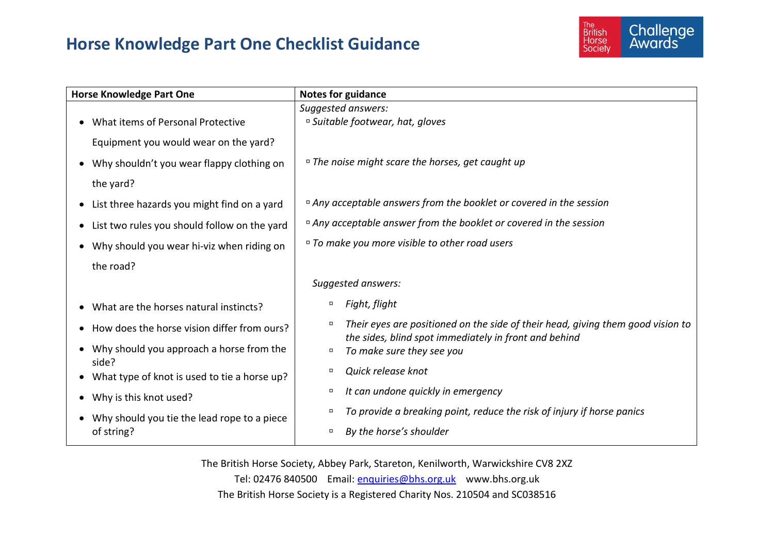## **Horse Knowledge Part One Checklist Guidance**



| <b>Horse Knowledge Part One</b>                                    | <b>Notes for guidance</b>                                                                                                                          |
|--------------------------------------------------------------------|----------------------------------------------------------------------------------------------------------------------------------------------------|
|                                                                    | Suggested answers:                                                                                                                                 |
| What items of Personal Protective<br>$\bullet$                     | <sup>□</sup> Suitable footwear, hat, gloves                                                                                                        |
| Equipment you would wear on the yard?                              |                                                                                                                                                    |
| Why shouldn't you wear flappy clothing on<br>٠                     | □ The noise might scare the horses, get caught up                                                                                                  |
| the yard?                                                          |                                                                                                                                                    |
| List three hazards you might find on a yard<br>$\bullet$           | □ Any acceptable answers from the booklet or covered in the session                                                                                |
| List two rules you should follow on the yard<br>$\bullet$          | □ Any acceptable answer from the booklet or covered in the session                                                                                 |
| Why should you wear hi-viz when riding on<br>$\bullet$             | <sup>□</sup> To make you more visible to other road users                                                                                          |
| the road?                                                          |                                                                                                                                                    |
|                                                                    | Suggested answers:                                                                                                                                 |
| What are the horses natural instincts?<br>$\bullet$                | Fight, flight<br>$\Box$                                                                                                                            |
| How does the horse vision differ from ours?<br>٠                   | Their eyes are positioned on the side of their head, giving them good vision to<br>$\Box$<br>the sides, blind spot immediately in front and behind |
| Why should you approach a horse from the<br>$\bullet$              | To make sure they see you<br>$\Box$                                                                                                                |
| side?<br>What type of knot is used to tie a horse up?<br>$\bullet$ | Quick release knot<br>$\Box$                                                                                                                       |
| Why is this knot used?<br>٠                                        | It can undone quickly in emergency<br>о                                                                                                            |
| Why should you tie the lead rope to a piece<br>$\bullet$           | To provide a breaking point, reduce the risk of injury if horse panics<br>о                                                                        |
| of string?                                                         | By the horse's shoulder<br>о                                                                                                                       |

The British Horse Society, Abbey Park, Stareton, Kenilworth, Warwickshire CV8 2XZ Tel: 02476 840500 Email: [enquiries@bhs.org.uk](mailto:enquiries@bhs.org.uk) www.bhs.org.uk The British Horse Society is a Registered Charity Nos. 210504 and SC038516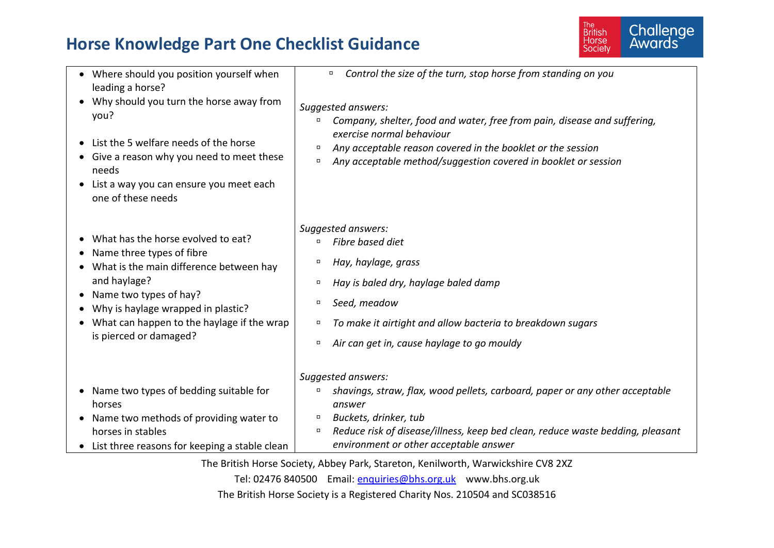## **Horse Knowledge Part One Checklist Guidance**



| • Where should you position yourself when<br>leading a horse?<br>Why should you turn the horse away from<br>you?<br>• List the 5 welfare needs of the horse<br>• Give a reason why you need to meet these<br>needs<br>List a way you can ensure you meet each<br>one of these needs | Control the size of the turn, stop horse from standing on you<br>$\Box$<br>Suggested answers:<br>Company, shelter, food and water, free from pain, disease and suffering,<br>$\Box$<br>exercise normal behaviour<br>Any acceptable reason covered in the booklet or the session<br>$\Box$<br>Any acceptable method/suggestion covered in booklet or session<br>α |
|-------------------------------------------------------------------------------------------------------------------------------------------------------------------------------------------------------------------------------------------------------------------------------------|------------------------------------------------------------------------------------------------------------------------------------------------------------------------------------------------------------------------------------------------------------------------------------------------------------------------------------------------------------------|
| • What has the horse evolved to eat?<br>Name three types of fibre<br>What is the main difference between hay<br>and haylage?<br>Name two types of hay?<br>• Why is haylage wrapped in plastic?<br>What can happen to the haylage if the wrap<br>is pierced or damaged?              | Suggested answers:<br>Fibre based diet<br>$\Box$<br>Hay, haylage, grass<br>α<br>Hay is baled dry, haylage baled damp<br>$\Box$<br>Seed, meadow<br>$\Box$<br>To make it airtight and allow bacteria to breakdown sugars<br>$\Box$<br>Air can get in, cause haylage to go mouldy<br>$\Box$                                                                         |
| Name two types of bedding suitable for<br>horses<br>• Name two methods of providing water to<br>horses in stables<br>• List three reasons for keeping a stable clean                                                                                                                | Suggested answers:<br>shavings, straw, flax, wood pellets, carboard, paper or any other acceptable<br>α<br>answer<br>Buckets, drinker, tub<br>α<br>Reduce risk of disease/illness, keep bed clean, reduce waste bedding, pleasant<br>$\Box$<br>environment or other acceptable answer                                                                            |
|                                                                                                                                                                                                                                                                                     | The Dritich Harce Coojety, Abboy Dark, Ctoroton, Kenilworth, Wamujakabire CV0, 277                                                                                                                                                                                                                                                                               |

The British Horse Society, Abbey Park, Stareton, Kenilworth, Warwickshire CV8 2XZ

Tel: 02476 840500 Email: [enquiries@bhs.org.uk](mailto:enquiries@bhs.org.uk) www.bhs.org.uk

The British Horse Society is a Registered Charity Nos. 210504 and SC038516